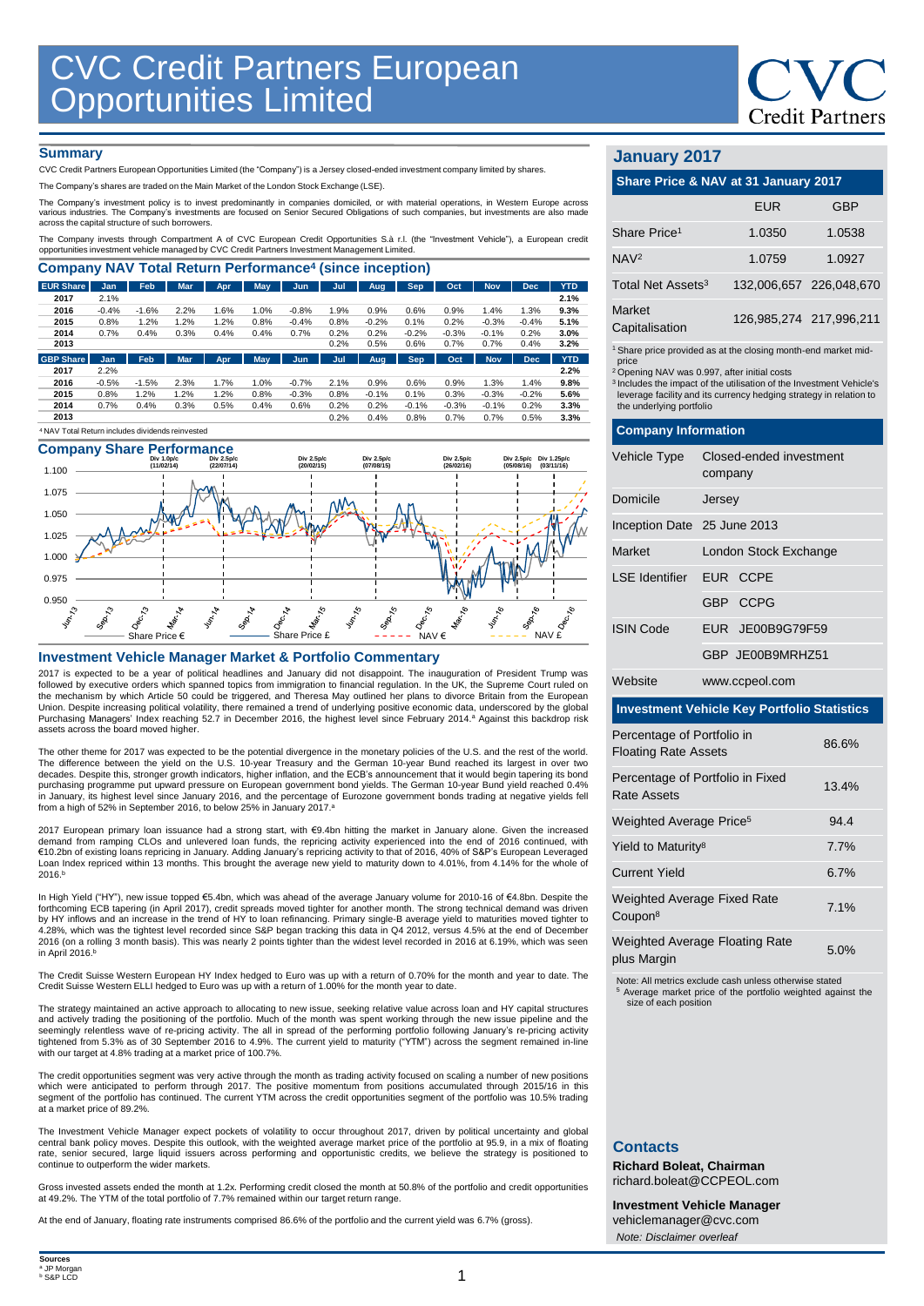

## **Summary**

CVC Credit Partners European Opportunities Limited (the "Company") is a Jersey closed-ended investment company limited by shares.

The Company's shares are traded on the Main Market of the London Stock Exchange (LSE).

The Company's investment policy is to invest predominantly in companies domiciled, or with material operations, in Westem Europe across<br>various industries. The Company's investments are focused on Senior Secured Obligation

The Company invests through Compartment A of CVC European Credit Opportunities S.à r.l. (the "Investment Vehicle"), a European credit opportunities investment vehicle managed by CVC Credit Partners Investment Management Limited.

| <b>Company NAV Total Return Performance<sup>4</sup> (since inception)</b> |            |            |            |      |            |         |      |            |            |         |            |            |            |
|---------------------------------------------------------------------------|------------|------------|------------|------|------------|---------|------|------------|------------|---------|------------|------------|------------|
| <b>EUR Share</b>                                                          | <b>Jan</b> | <b>Feb</b> | <b>Mar</b> | Apr  | May        | Jun     | Jul  | Aug        | <b>Sep</b> | Oct     | <b>Nov</b> | <b>Dec</b> | <b>YTD</b> |
| 2017                                                                      | 2.1%       |            |            |      |            |         |      |            |            |         |            |            | 2.1%       |
| 2016                                                                      | $-0.4%$    | $-1.6%$    | 2.2%       | 1.6% | 1.0%       | $-0.8%$ | 1.9% | 0.9%       | 0.6%       | 0.9%    | 1.4%       | 1.3%       | 9.3%       |
| 2015                                                                      | 0.8%       | 1.2%       | 1.2%       | 1.2% | 0.8%       | $-0.4%$ | 0.8% | $-0.2%$    | 0.1%       | 0.2%    | $-0.3%$    | $-0.4%$    | 5.1%       |
| 2014                                                                      | 0.7%       | 0.4%       | 0.3%       | 0.4% | 0.4%       | 0.7%    | 0.2% | 0.2%       | $-0.2%$    | $-0.3%$ | $-0.1%$    | 0.2%       | 3.0%       |
| 2013                                                                      |            |            |            |      |            |         | 0.2% | 0.5%       | 0.6%       | 0.7%    | 0.7%       | 0.4%       | 3.2%       |
| <b>GBP Share</b>                                                          | Jan        | Feb        | <b>Mar</b> | Apr  | <b>May</b> | Jun     | Jul  | <b>Aug</b> | <b>Sep</b> | Oct     | <b>Nov</b> | <b>Dec</b> | <b>YTD</b> |
| 2017                                                                      | 2.2%       |            |            |      |            |         |      |            |            |         |            |            | 2.2%       |
| 2016                                                                      | $-0.5%$    | $-1.5%$    | 2.3%       | 1.7% | 1.0%       | $-0.7%$ | 2.1% | 0.9%       | 0.6%       | 0.9%    | 1.3%       | 1.4%       | 9.8%       |
| 2015                                                                      | 0.8%       | 1.2%       | 1.2%       | 1.2% | 0.8%       | $-0.3%$ | 0.8% | $-0.1%$    | 0.1%       | 0.3%    | $-0.3%$    | $-0.2%$    | 5.6%       |
| 2014                                                                      | 0.7%       | 0.4%       | 0.3%       | 0.5% | 0.4%       | 0.6%    | 0.2% | 0.2%       | $-0.1%$    | $-0.3%$ | $-0.1%$    | 0.2%       | 3.3%       |
| 2013                                                                      |            |            |            |      |            |         | 0.2% | 0.4%       | 0.8%       | 0.7%    | 0.7%       | 0.5%       | 3.3%       |

#### **Company Share Performance** <sup>4</sup>NAV Total Return includes dividends reinvested



### **Investment Vehicle Manager Market & Portfolio Commentary**

2017 is expected to be a year of political headlines and January did not disappoint. The inauguration of President Trump was followed by executive orders which spanned topics from immigration to financial regulation. In the UK, the Supreme Court ruled on the mechanism by which Article 50 could be triggered, and Theresa May outlined her plans to divorce Britain from the European Union. Despite increasing political volatility, there remained a trend of underlying positive economic data, underscored by the global<br>Purchasing Managers' Index reaching 52.7 in December 2016, the highest level since Febr assets across the board moved higher

The other theme for 2017 was expected to be the potential divergence in the monetary policies of the U.S. and the rest of the world. The difference between the yield on the U.S. 10-year Treasury and the German 10-year Bund reached its largest in over two decades. Despite this, stronger growth indicators, higher inflation, and the ECB's announcement that it would begin tapering its bond purchasing programme put upward pressure on European government bond yields. The German 10-year Bund yield reached 0.4% in January, its highest level since January 2016, and the percentage of Eurozone government bonds trading at negative yields fell from a high of 52% in September 2016, to below 25% in January 2017.<sup>a</sup>

2017 European primary loan issuance had a strong start, with €9.4bn hitting the market in January alone. Given the increased<br>demand from ramping CLOs and unlevered loan funds, the repricing activity experienced into the en €10.2bn of existing loans repricing in January. Adding January's repricing activity to that of 2016, 40% of S&P's European Leveraged Loan Index repriced within 13 months. This brought the average new yield to maturity down to 4.01%, from 4.14% for the whole of 2016. b

In High Yield ("HY"), new issue topped €5.4bn, which was ahead of the average January volume for 2010-16 of €4.8bn. Despite the forthcoming ECB tapering (in April 2017), credit spreads moved tighter for another month. The strong technical demand was driven by HY inflows and an increase in the trend of HY to loan refinancing. Primary single-B average yield to maturities moved tighter to<br>4.28%, which was the tightest level recorded since S&P began tracking this data in Q4 2012 2016 (on a rolling 3 month basis). This was nearly 2 points tighter than the widest level recorded in 2016 at 6.19%, which was seen in April 2016. b

The Credit Suisse Western European HY Index hedged to Euro was up with a return of 0.70% for the month and year to date. The Credit Suisse Western ELLI hedged to Euro was up with a return of 1.00% for the month year to date.

The strategy maintained an active approach to allocating to new issue, seeking relative value across loan and HY capital structures and actively trading the positioning of the portfolio. Much of the month was spent working through the new issue pipeline and the<br>seemingly relentless wave of re-pricing activity. The all in spread of the performing portfo tightened from 5.3% as of 30 September 2016 to 4.9%. The current yield to maturity ("YTM") across the segment remained in-line with our target at 4.8% trading at a market price of 100.7%.

The credit opportunities segment was very active through the month as trading activity focused on scaling a number of new positions which were anticipated to perform through 2017. The positive momentum from positions accumulated through 2015/16 in this<br>segment of the portfolio has continued. The current YTM across the credit opportunities segment of th at a market price of 89.2%.

The Investment Vehicle Manager expect pockets of volatility to occur throughout 2017, driven by political uncertainty and global central bank policy moves. Despite this outlook, with the weighted average market price of the portfolio at 95.9, in a mix of floating<br>rate, senior secured, large liquid issuers across performing and opportunistic credits, continue to outperform the wider markets.

Gross invested assets ended the month at 1.2x. Performing credit closed the month at 50.8% of the portfolio and credit opportunities at 49.2%. The YTM of the total portfolio of 7.7% remained within our target return range.

At the end of January, floating rate instruments comprised 86.6% of the portfolio and the current yield was 6.7% (gross).

# **January 2017**

| Share Price & NAV at 31 January 2017 |  |  |
|--------------------------------------|--|--|
|                                      |  |  |

| FUR                     | GBP                     |
|-------------------------|-------------------------|
| 1.0350                  | 1.0538                  |
| 1.0759                  | 1.0927                  |
|                         | 132.006.657 226.048.670 |
| 126.985.274 217.996.211 |                         |
|                         |                         |

1 Share price provided as at the closing month-end market mid-

price <sup>2</sup>Opening NAV was 0.997, after initial costs

<sup>3</sup>Includes the impact of the utilisation of the Investment Vehicle's leverage facility and its currency hedging strategy in relation to the underlying portfolio

|                                                                    | <b>Company Information</b>         |  |  |  |  |  |
|--------------------------------------------------------------------|------------------------------------|--|--|--|--|--|
| Vehicle Type                                                       | Closed-ended investment<br>company |  |  |  |  |  |
| Domicile                                                           | Jersey                             |  |  |  |  |  |
| Inception Date 25 June 2013                                        |                                    |  |  |  |  |  |
| Market                                                             | London Stock Exchange              |  |  |  |  |  |
| <b>LSE</b> Identifier                                              | EUR CCPE                           |  |  |  |  |  |
|                                                                    | GBP CCPG                           |  |  |  |  |  |
| <b>ISIN Code</b>                                                   | EUR JE00B9G79F59                   |  |  |  |  |  |
|                                                                    | GBP JE00B9MRHZ51                   |  |  |  |  |  |
| Website                                                            | www.ccpeol.com                     |  |  |  |  |  |
| <b>Investment Vehicle Key Portfolio Statistics</b>                 |                                    |  |  |  |  |  |
| Percentage of Portfolio in<br>86.6%<br><b>Floating Rate Assets</b> |                                    |  |  |  |  |  |
| Percentage of Portfolio in Fixed                                   |                                    |  |  |  |  |  |

| Percentage of Portfolio in Fixed<br>Rate Assets           | 13.4% |
|-----------------------------------------------------------|-------|
| Weighted Average Price <sup>5</sup>                       | 94.4  |
| Yield to Maturity <sup>8</sup>                            | 7.7%  |
| Current Yield                                             | 6.7%  |
| <b>Weighted Average Fixed Rate</b><br>Coupon <sup>8</sup> | 7.1%  |
| <b>Weighted Average Floating Rate</b><br>plus Margin      | 5.0%  |

Note: All metrics exclude cash unless otherwise stated <sup>5</sup> Average market price of the portfolio weighted against the size of each position

## **Contacts**

**Richard Boleat, Chairman**  richard.boleat@CCPEOL.com

**Investment Vehicle Manager** vehiclemanager@cvc.com *Note: Disclaimer overleaf*